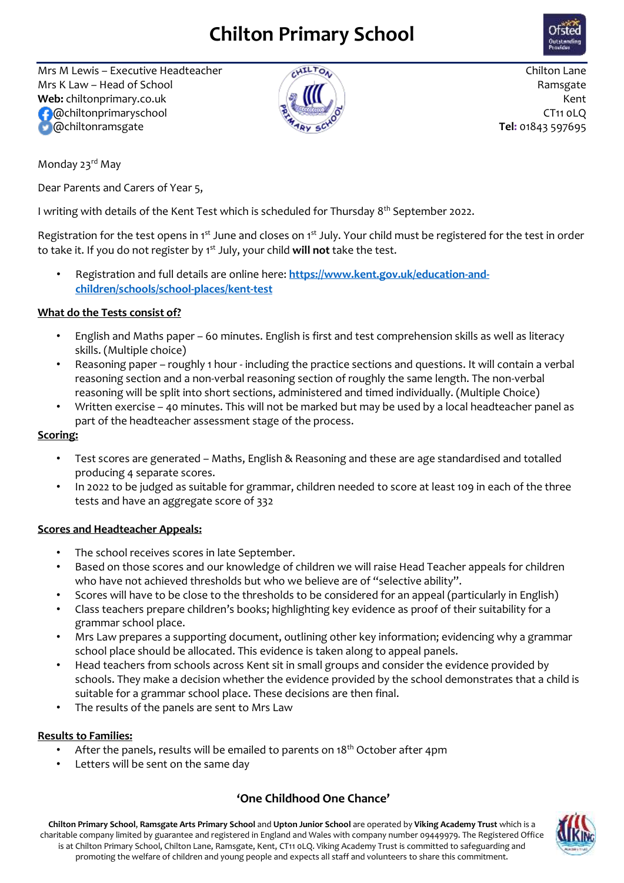# **Chilton Primary School**



Mrs M Lewis – Executive Headteacher  $\sqrt{N^{12}C_{0.}}$  Chilton Lane Mrs K Law – Head of School  $\overline{M}$ **Web:** chiltonprimary.co.uk Kent CT11 oLQ @chiltonramsgate **Tel:** 01843 597695



Monday 23<sup>rd</sup> May

Dear Parents and Carers of Year 5,

I writing with details of the Kent Test which is scheduled for Thursday 8<sup>th</sup> September 2022.

Registration for the test opens in 1<sup>st</sup> June and closes on 1<sup>st</sup> July. Your child must be registered for the test in order to take it. If you do not register by 1st July, your child **will not** take the test.

• Registration and full details are online here: **[https://www.kent.gov.uk/education-and](https://www.kent.gov.uk/education-and-children/schools/school-places/kent-test)[children/schools/school-places/kent-test](https://www.kent.gov.uk/education-and-children/schools/school-places/kent-test)**

## **What do the Tests consist of?**

- English and Maths paper 60 minutes. English is first and test comprehension skills as well as literacy skills. (Multiple choice)
- Reasoning paper roughly 1 hour including the practice sections and questions. It will contain a verbal reasoning section and a non-verbal reasoning section of roughly the same length. The non-verbal reasoning will be split into short sections, administered and timed individually. (Multiple Choice)
- Written exercise 40 minutes. This will not be marked but may be used by a local headteacher panel as part of the headteacher assessment stage of the process.

## **Scoring:**

- Test scores are generated Maths, English & Reasoning and these are age standardised and totalled producing 4 separate scores.
- In 2022 to be judged as suitable for grammar, children needed to score at least 109 in each of the three tests and have an aggregate score of 332

## **Scores and Headteacher Appeals:**

- The school receives scores in late September.
- Based on those scores and our knowledge of children we will raise Head Teacher appeals for children who have not achieved thresholds but who we believe are of "selective ability".
- Scores will have to be close to the thresholds to be considered for an appeal (particularly in English)
- Class teachers prepare children's books; highlighting key evidence as proof of their suitability for a grammar school place.
- Mrs Law prepares a supporting document, outlining other key information; evidencing why a grammar school place should be allocated. This evidence is taken along to appeal panels.
- Head teachers from schools across Kent sit in small groups and consider the evidence provided by schools. They make a decision whether the evidence provided by the school demonstrates that a child is suitable for a grammar school place. These decisions are then final.
- The results of the panels are sent to Mrs Law

# **Results to Families:**

- After the panels, results will be emailed to parents on 18<sup>th</sup> October after 4pm
- Letters will be sent on the same day

# **'One Childhood One Chance'**

**Chilton Primary School**, **Ramsgate Arts Primary School** and **Upton Junior School** are operated by **Viking Academy Trust** which is a charitable company limited by guarantee and registered in England and Wales with company number 09449979. The Registered Office is at Chilton Primary School, Chilton Lane, Ramsgate, Kent, CT11 0LQ. Viking Academy Trust is committed to safeguarding and promoting the welfare of children and young people and expects all staff and volunteers to share this commitment.